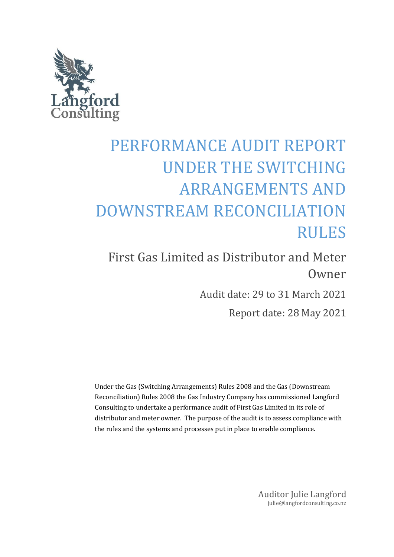

# PERFORMANCE AUDIT REPORT UNDER THE SWITCHING ARRANGEMENTS AND DOWNSTREAM RECONCILIATION RULES

First Gas Limited as Distributor and Meter Owner

Audit date: 29 to 31 March 2021

Report date: 28 May 2021

Under the Gas (Switching Arrangements) Rules 2008 and the Gas (Downstream Reconciliation) Rules 2008 the Gas Industry Company has commissioned Langford Consulting to undertake a performance audit of First Gas Limited in its role of distributor and meter owner. The purpose of the audit is to assess compliance with the rules and the systems and processes put in place to enable compliance.

> Auditor Julie Langford julie@langfordconsulting.co.nz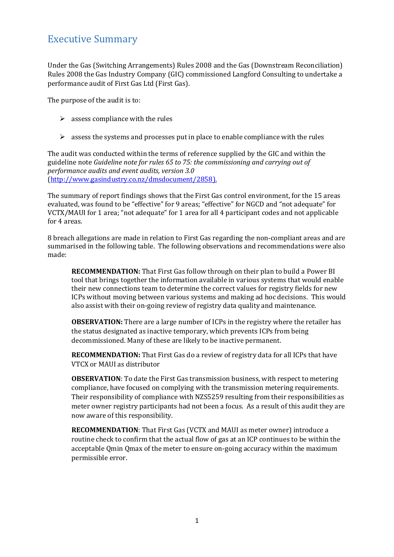## <span id="page-1-0"></span>Executive Summary

Under the Gas (Switching Arrangements) Rules 2008 and the Gas (Downstream Reconciliation) Rules 2008 the Gas Industry Company (GIC) commissioned Langford Consulting to undertake a performance audit of First Gas Ltd (First Gas).

The purpose of the audit is to:

- $\triangleright$  assess compliance with the rules
- $\triangleright$  assess the systems and processes put in place to enable compliance with the rules

The audit was conducted within the terms of reference supplied by the GIC and within the guideline note *Guideline note for rules 65 to 75: the commissioning and carrying out of performance audits and event audits, version 3.0* [\(http://www.gasindustry.co.nz/dmsdocument/2858\)](http://www.gasindustry.co.nz/dmsdocument/2858).

The summary of report findings shows that the First Gas control environment, for the 15 areas evaluated, was found to be "effective" for 9 areas; "effective" for NGCD and "not adequate" for VCTX/MAUI for 1 area; "not adequate" for 1 area for all 4 participant codes and not applicable for 4 areas.

8 breach allegations are made in relation to First Gas regarding the non-compliant areas and are summarised in the following table. The following observations and recommendations were also made:

**RECOMMENDATION:** That First Gas follow through on their plan to build a Power BI tool that brings together the information available in various systems that would enable their new connections team to determine the correct values for registry fields for new ICPs without moving between various systems and making ad hoc decisions. This would also assist with their on-going review of registry data quality and maintenance.

**OBSERVATION:** There are a large number of ICPs in the registry where the retailer has the status designated as inactive temporary, which prevents ICPs from being decommissioned. Many of these are likely to be inactive permanent.

**RECOMMENDATION:** That First Gas do a review of registry data for all ICPs that have VTCX or MAUI as distributor

**OBSERVATION**: To date the First Gas transmission business, with respect to metering compliance, have focused on complying with the transmission metering requirements. Their responsibility of compliance with NZS5259 resulting from their responsibilities as meter owner registry participants had not been a focus. As a result of this audit they are now aware of this responsibility.

**RECOMMENDATION**: That First Gas (VCTX and MAUI as meter owner) introduce a routine check to confirm that the actual flow of gas at an ICP continues to be within the acceptable Qmin Qmax of the meter to ensure on-going accuracy within the maximum permissible error.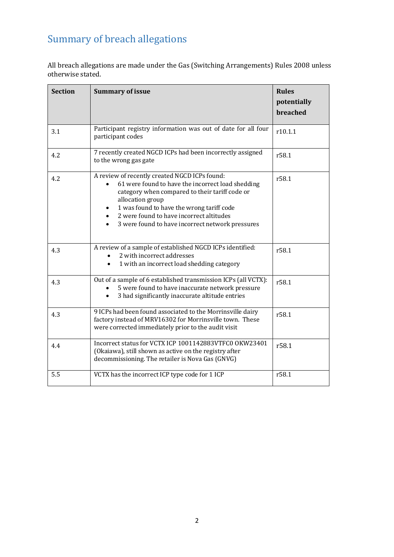# <span id="page-2-0"></span>Summary of breach allegations

All breach allegations are made under the Gas (Switching Arrangements) Rules 2008 unless otherwise stated.

| <b>Section</b> | <b>Summary of issue</b>                                                                                                                                                                                                                                                                                               | <b>Rules</b><br>potentially<br>breached |
|----------------|-----------------------------------------------------------------------------------------------------------------------------------------------------------------------------------------------------------------------------------------------------------------------------------------------------------------------|-----------------------------------------|
| 3.1            | Participant registry information was out of date for all four<br>participant codes                                                                                                                                                                                                                                    | r10.1.1                                 |
| 4.2            | 7 recently created NGCD ICPs had been incorrectly assigned<br>to the wrong gas gate                                                                                                                                                                                                                                   | r58.1                                   |
| 4.2            | A review of recently created NGCD ICPs found:<br>61 were found to have the incorrect load shedding<br>category when compared to their tariff code or<br>allocation group<br>1 was found to have the wrong tariff code<br>2 were found to have incorrect altitudes<br>3 were found to have incorrect network pressures | r58.1                                   |
| 4.3            | A review of a sample of established NGCD ICPs identified:<br>2 with incorrect addresses<br>1 with an incorrect load shedding category                                                                                                                                                                                 | r58.1                                   |
| 4.3            | Out of a sample of 6 established transmission ICPs (all VCTX):<br>5 were found to have inaccurate network pressure<br>3 had significantly inaccurate altitude entries                                                                                                                                                 | r58.1                                   |
| 4.3            | 9 ICPs had been found associated to the Morrinsville dairy<br>factory instead of MRV16302 for Morrinsville town. These<br>were corrected immediately prior to the audit visit                                                                                                                                         | r58.1                                   |
| 4.4            | Incorrect status for VCTX ICP 1001142883VTFC0 OKW23401<br>(Okaiawa), still shown as active on the registry after<br>decommissioning. The retailer is Nova Gas (GNVG)                                                                                                                                                  | r58.1                                   |
| 5.5            | VCTX has the incorrect ICP type code for 1 ICP                                                                                                                                                                                                                                                                        | r58.1                                   |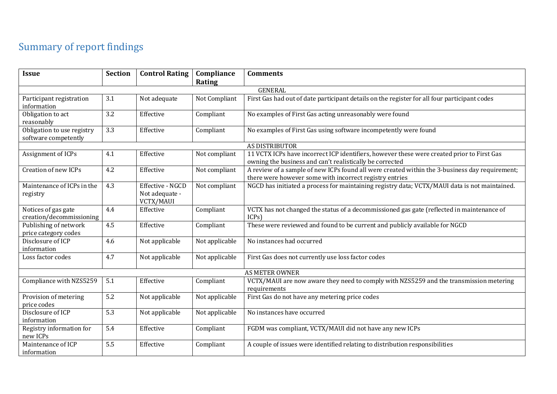# Summary of report findings

<span id="page-3-0"></span>

| <b>Issue</b>                                       | <b>Section</b> | <b>Control Rating</b>       | Compliance     | <b>Comments</b>                                                                                                                                           |  |  |
|----------------------------------------------------|----------------|-----------------------------|----------------|-----------------------------------------------------------------------------------------------------------------------------------------------------------|--|--|
|                                                    |                |                             | Rating         |                                                                                                                                                           |  |  |
|                                                    | <b>GENERAL</b> |                             |                |                                                                                                                                                           |  |  |
| Participant registration<br>information            | 3.1            | Not adequate                | Not Compliant  | First Gas had out of date participant details on the register for all four participant codes                                                              |  |  |
| Obligation to act<br>reasonably                    | 3.2            | Effective                   | Compliant      | No examples of First Gas acting unreasonably were found                                                                                                   |  |  |
| Obligation to use registry<br>software competently | 3.3            | Effective                   | Compliant      | No examples of First Gas using software incompetently were found                                                                                          |  |  |
|                                                    |                |                             |                | AS DISTRIBUTOR                                                                                                                                            |  |  |
| Assignment of ICPs                                 | 4.1            | Effective                   | Not compliant  | 11 VCTX ICPs have incorrect ICP identifiers, however these were created prior to First Gas<br>owning the business and can't realistically be corrected    |  |  |
| Creation of new ICPs                               | 4.2            | Effective                   | Not compliant  | A review of a sample of new ICPs found all were created within the 3-business day requirement;<br>there were however some with incorrect registry entries |  |  |
| Maintenance of ICPs in the                         | 4.3            | Effective - NGCD            | Not compliant  | NGCD has initiated a process for maintaining registry data; VCTX/MAUI data is not maintained.                                                             |  |  |
| registry                                           |                | Not adequate -<br>VCTX/MAUI |                |                                                                                                                                                           |  |  |
| Notices of gas gate<br>creation/decommissioning    | 4.4            | Effective                   | Compliant      | VCTX has not changed the status of a decommissioned gas gate (reflected in maintenance of<br>ICPs                                                         |  |  |
| Publishing of network<br>price category codes      | 4.5            | Effective                   | Compliant      | These were reviewed and found to be current and publicly available for NGCD                                                                               |  |  |
| Disclosure of ICP<br>information                   | 4.6            | Not applicable              | Not applicable | No instances had occurred                                                                                                                                 |  |  |
| Loss factor codes                                  | 4.7            | Not applicable              | Not applicable | First Gas does not currently use loss factor codes                                                                                                        |  |  |
|                                                    |                |                             |                | <b>AS METER OWNER</b>                                                                                                                                     |  |  |
| Compliance with NZS5259                            | 5.1            | Effective                   | Compliant      | VCTX/MAUI are now aware they need to comply with NZS5259 and the transmission metering<br>requirements                                                    |  |  |
| Provision of metering<br>price codes               | 5.2            | Not applicable              | Not applicable | First Gas do not have any metering price codes                                                                                                            |  |  |
| Disclosure of ICP<br>information                   | 5.3            | Not applicable              | Not applicable | No instances have occurred                                                                                                                                |  |  |
| Registry information for<br>new ICPs               | 5.4            | Effective                   | Compliant      | FGDM was compliant, VCTX/MAUI did not have any new ICPs                                                                                                   |  |  |
| Maintenance of ICP<br>information                  | 5.5            | Effective                   | Compliant      | A couple of issues were identified relating to distribution responsibilities                                                                              |  |  |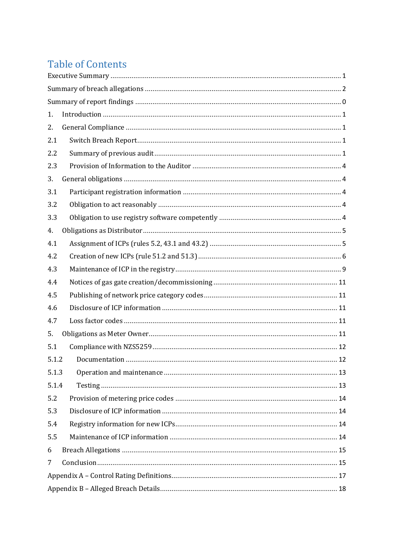# **Table of Contents**

| 1.    |  |  |  |
|-------|--|--|--|
| 2.    |  |  |  |
| 2.1   |  |  |  |
| 2.2   |  |  |  |
| 2.3   |  |  |  |
| 3.    |  |  |  |
| 3.1   |  |  |  |
| 3.2   |  |  |  |
| 3.3   |  |  |  |
| 4.    |  |  |  |
| 4.1   |  |  |  |
| 4.2   |  |  |  |
| 4.3   |  |  |  |
| 4.4   |  |  |  |
| 4.5   |  |  |  |
| 4.6   |  |  |  |
| 4.7   |  |  |  |
| 5.    |  |  |  |
| 5.1   |  |  |  |
| 5.1.2 |  |  |  |
| 5.1.3 |  |  |  |
| 5.1.4 |  |  |  |
| 5.2   |  |  |  |
| 5.3   |  |  |  |
| 5.4   |  |  |  |
| 5.5   |  |  |  |
| 6     |  |  |  |
| 7     |  |  |  |
|       |  |  |  |
|       |  |  |  |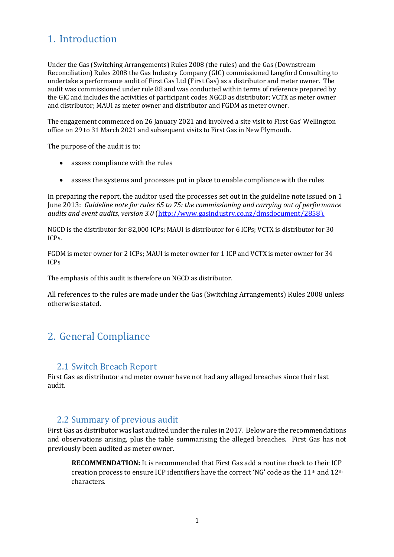# <span id="page-5-0"></span>1. Introduction

Under the Gas (Switching Arrangements) Rules 2008 (the rules) and the Gas (Downstream Reconciliation) Rules 2008 the Gas Industry Company (GIC) commissioned Langford Consulting to undertake a performance audit of First Gas Ltd (First Gas) as a distributor and meter owner. The audit was commissioned under rule 88 and was conducted within terms of reference prepared by the GIC and includes the activities of participant codes NGCD as distributor; VCTX as meter owner and distributor; MAUI as meter owner and distributor and FGDM as meter owner.

The engagement commenced on 26 January 2021 and involved a site visit to First Gas' Wellington office on 29 to 31 March 2021 and subsequent visits to First Gas in New Plymouth.

The purpose of the audit is to:

- assess compliance with the rules
- assess the systems and processes put in place to enable compliance with the rules

In preparing the report, the auditor used the processes set out in the guideline note issued on 1 June 2013: *Guideline note for rules 65 to 75: the commissioning and carrying out of performance audits and event audits, version 3.0* [\(http://www.gasindustry.co.nz/dmsdocument/2858\)](http://www.gasindustry.co.nz/dmsdocument/2858).

NGCD is the distributor for 82,000 ICPs; MAUI is distributor for 6 ICPs; VCTX is distributor for 30 ICPs.

FGDM is meter owner for 2 ICPs; MAUI is meter owner for 1 ICP and VCTX is meter owner for 34 ICPs

The emphasis of this audit is therefore on NGCD as distributor.

All references to the rules are made under the Gas (Switching Arrangements) Rules 2008 unless otherwise stated.

## <span id="page-5-1"></span>2. General Compliance

#### <span id="page-5-2"></span>2.1 Switch Breach Report

First Gas as distributor and meter owner have not had any alleged breaches since their last audit.

#### <span id="page-5-3"></span>2.2 Summary of previous audit

First Gas as distributor was last audited under the rules in 2017. Below are the recommendations and observations arising, plus the table summarising the alleged breaches. First Gas has not previously been audited as meter owner.

**RECOMMENDATION:** It is recommended that First Gas add a routine check to their ICP creation process to ensure ICP identifiers have the correct 'NG' code as the 11<sup>th</sup> and 12<sup>th</sup> characters.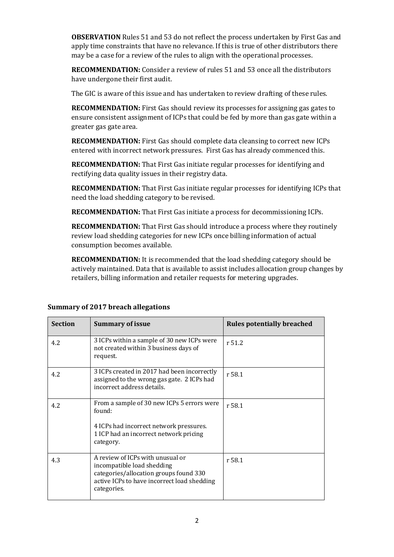**OBSERVATION** Rules 51 and 53 do not reflect the process undertaken by First Gas and apply time constraints that have no relevance. If this is true of other distributors there may be a case for a review of the rules to align with the operational processes.

**RECOMMENDATION:** Consider a review of rules 51 and 53 once all the distributors have undergone their first audit.

The GIC is aware of this issue and has undertaken to review drafting of these rules.

**RECOMMENDATION:** First Gas should review its processes for assigning gas gates to ensure consistent assignment of ICPs that could be fed by more than gas gate within a greater gas gate area.

**RECOMMENDATION:** First Gas should complete data cleansing to correct new ICPs entered with incorrect network pressures. First Gas has already commenced this.

**RECOMMENDATION:** That First Gas initiate regular processes for identifying and rectifying data quality issues in their registry data.

**RECOMMENDATION:** That First Gas initiate regular processes for identifying ICPs that need the load shedding category to be revised.

**RECOMMENDATION:** That First Gas initiate a process for decommissioning ICPs.

**RECOMMENDATION:** That First Gas should introduce a process where they routinely review load shedding categories for new ICPs once billing information of actual consumption becomes available.

**RECOMMENDATION:** It is recommended that the load shedding category should be actively maintained. Data that is available to assist includes allocation group changes by retailers, billing information and retailer requests for metering upgrades.

| <b>Section</b> | <b>Summary of issue</b>                                                                                                                                                | <b>Rules potentially breached</b> |
|----------------|------------------------------------------------------------------------------------------------------------------------------------------------------------------------|-----------------------------------|
| 4.2            | 3 ICPs within a sample of 30 new ICPs were<br>not created within 3 business days of<br>request.                                                                        | r 51.2                            |
| 4.2            | 3 ICPs created in 2017 had been incorrectly<br>assigned to the wrong gas gate. 2 ICPs had<br>incorrect address details.                                                | r 58.1                            |
| 4.2            | From a sample of 30 new ICPs 5 errors were<br>found:                                                                                                                   | r 58.1                            |
|                | 4 ICPs had incorrect network pressures.<br>1 ICP had an incorrect network pricing<br>category.                                                                         |                                   |
| 4.3            | A review of ICPs with unusual or<br>incompatible load shedding<br>categories/allocation groups found 330<br>active ICPs to have incorrect load shedding<br>categories. | r 58.1                            |

#### **Summary of 2017 breach allegations**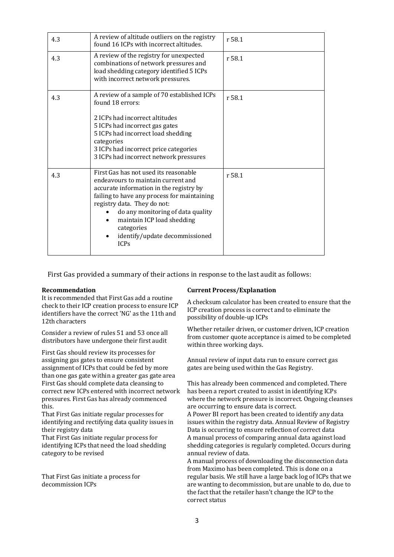| 4.3 | A review of altitude outliers on the registry<br>found 16 ICPs with incorrect altitudes.                                                                                                                                                                                                                                               | r 58.1 |
|-----|----------------------------------------------------------------------------------------------------------------------------------------------------------------------------------------------------------------------------------------------------------------------------------------------------------------------------------------|--------|
| 4.3 | A review of the registry for unexpected<br>combinations of network pressures and<br>load shedding category identified 5 ICPs<br>with incorrect network pressures.                                                                                                                                                                      | r 58.1 |
| 4.3 | A review of a sample of 70 established ICPs<br>found 18 errors:                                                                                                                                                                                                                                                                        | r 58.1 |
|     | 2 ICPs had incorrect altitudes                                                                                                                                                                                                                                                                                                         |        |
|     | 5 ICPs had incorrect gas gates                                                                                                                                                                                                                                                                                                         |        |
|     | 5 ICPs had incorrect load shedding<br>categories                                                                                                                                                                                                                                                                                       |        |
|     | 3 ICPs had incorrect price categories                                                                                                                                                                                                                                                                                                  |        |
|     | 3 ICPs had incorrect network pressures                                                                                                                                                                                                                                                                                                 |        |
| 4.3 | First Gas has not used its reasonable<br>endeavours to maintain current and<br>accurate information in the registry by<br>failing to have any process for maintaining<br>registry data. They do not:<br>do any monitoring of data quality<br>maintain ICP load shedding<br>categories<br>identify/update decommissioned<br><b>ICPs</b> | r 58.1 |

First Gas provided a summary of their actions in response to the last audit as follows:

It is recommended that First Gas add a routine check to their ICP creation process to ensure ICP identifiers have the correct 'NG' as the 11th and 12th characters

Consider a review of rules 51 and 53 once all distributors have undergone their first audit

First Gas should review its processes for assigning gas gates to ensure consistent assignment of ICPs that could be fed by more than one gas gate within a greater gas gate area First Gas should complete data cleansing to correct new ICPs entered with incorrect network pressures. First Gas has already commenced this.

That First Gas initiate regular processes for identifying and rectifying data quality issues in their registry data

That First Gas initiate regular process for identifying ICPs that need the load shedding category to be revised

That First Gas initiate a process for decommission ICPs

#### **Recommendation Current Process/Explanation**

A checksum calculator has been created to ensure that the ICP creation process is correct and to eliminate the possibility of double-up ICPs

Whether retailer driven, or customer driven, ICP creation from customer quote acceptance is aimed to be completed within three working days.

Annual review of input data run to ensure correct gas gates are being used within the Gas Registry.

This has already been commenced and completed. There has been a report created to assist in identifying ICPs where the network pressure is incorrect. Ongoing cleanses are occurring to ensure data is correct.

A Power BI report has been created to identify any data issues within the registry data. Annual Review of Registry Data is occurring to ensure reflection of correct data A manual process of comparing annual data against load shedding categories is regularly completed. Occurs during annual review of data.

A manual process of downloading the disconnection data from Maximo has been completed. This is done on a regular basis. We still have a large back log of ICPs that we are wanting to decommission, but are unable to do, due to the fact that the retailer hasn't change the ICP to the correct status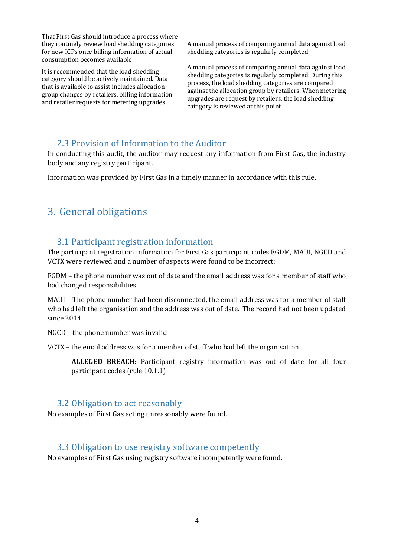That First Gas should introduce a process where they routinely review load shedding categories for new ICPs once billing information of actual consumption becomes available

It is recommended that the load shedding category should be actively maintained. Data that is available to assist includes allocation group changes by retailers, billing information and retailer requests for metering upgrades

A manual process of comparing annual data against load shedding categories is regularly completed

A manual process of comparing annual data against load shedding categories is regularly completed. During this process, the load shedding categories are compared against the allocation group by retailers. When metering upgrades are request by retailers, the load shedding category is reviewed at this point

#### <span id="page-8-0"></span>2.3 Provision of Information to the Auditor

In conducting this audit, the auditor may request any information from First Gas, the industry body and any registry participant.

Information was provided by First Gas in a timely manner in accordance with this rule.

## <span id="page-8-1"></span>3. General obligations

#### <span id="page-8-2"></span>3.1 Participant registration information

The participant registration information for First Gas participant codes FGDM, MAUI, NGCD and VCTX were reviewed and a number of aspects were found to be incorrect:

FGDM – the phone number was out of date and the email address was for a member of staff who had changed responsibilities

MAUI – The phone number had been disconnected, the email address was for a member of staff who had left the organisation and the address was out of date. The record had not been updated since 2014.

NGCD – the phone number was invalid

VCTX – the email address was for a member of staff who had left the organisation

**ALLEGED BREACH:** Participant registry information was out of date for all four participant codes (rule 10.1.1)

#### <span id="page-8-3"></span>3.2 Obligation to act reasonably

No examples of First Gas acting unreasonably were found.

#### <span id="page-8-4"></span>3.3 Obligation to use registry software competently

No examples of First Gas using registry software incompetently were found.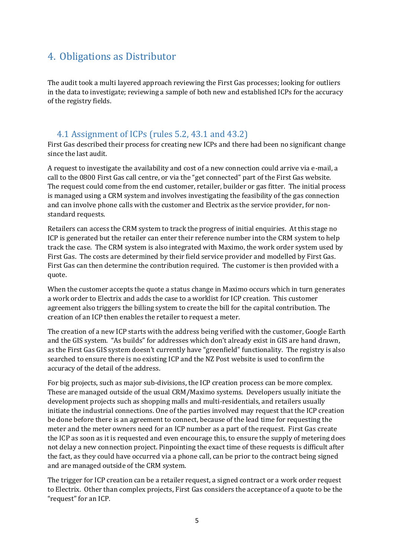# <span id="page-9-0"></span>4. Obligations as Distributor

The audit took a multi layered approach reviewing the First Gas processes; looking for outliers in the data to investigate; reviewing a sample of both new and established ICPs for the accuracy of the registry fields.

#### <span id="page-9-1"></span>4.1 Assignment of ICPs (rules 5.2, 43.1 and 43.2)

First Gas described their process for creating new ICPs and there had been no significant change since the last audit.

A request to investigate the availability and cost of a new connection could arrive via e-mail, a call to the 0800 First Gas call centre, or via the "get connected" part of the First Gas website. The request could come from the end customer, retailer, builder or gas fitter. The initial process is managed using a CRM system and involves investigating the feasibility of the gas connection and can involve phone calls with the customer and Electrix as the service provider, for nonstandard requests.

Retailers can access the CRM system to track the progress of initial enquiries. At this stage no ICP is generated but the retailer can enter their reference number into the CRM system to help track the case. The CRM system is also integrated with Maximo, the work order system used by First Gas. The costs are determined by their field service provider and modelled by First Gas. First Gas can then determine the contribution required. The customer is then provided with a quote.

When the customer accepts the quote a status change in Maximo occurs which in turn generates a work order to Electrix and adds the case to a worklist for ICP creation. This customer agreement also triggers the billing system to create the bill for the capital contribution. The creation of an ICP then enables the retailer to request a meter.

The creation of a new ICP starts with the address being verified with the customer, Google Earth and the GIS system. "As builds" for addresses which don't already exist in GIS are hand drawn, as the First Gas GIS system doesn't currently have "greenfield" functionality. The registry is also searched to ensure there is no existing ICP and the NZ Post website is used to confirm the accuracy of the detail of the address.

For big projects, such as major sub-divisions, the ICP creation process can be more complex. These are managed outside of the usual CRM/Maximo systems. Developers usually initiate the development projects such as shopping malls and multi-residentials, and retailers usually initiate the industrial connections. One of the parties involved may request that the ICP creation be done before there is an agreement to connect, because of the lead time for requesting the meter and the meter owners need for an ICP number as a part of the request. First Gas create the ICP as soon as it is requested and even encourage this, to ensure the supply of metering does not delay a new connection project. Pinpointing the exact time of these requests is difficult after the fact, as they could have occurred via a phone call, can be prior to the contract being signed and are managed outside of the CRM system.

The trigger for ICP creation can be a retailer request, a signed contract or a work order request to Electrix. Other than complex projects, First Gas considers the acceptance of a quote to be the "request" for an ICP.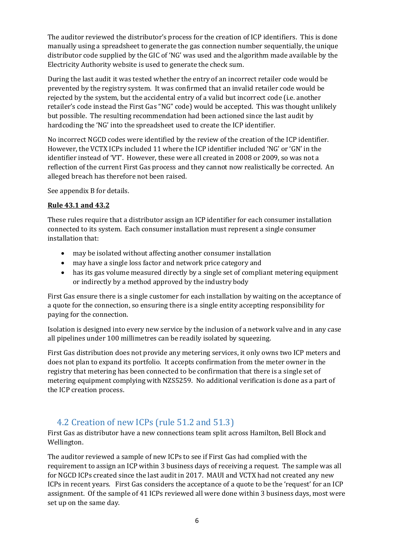The auditor reviewed the distributor's process for the creation of ICP identifiers. This is done manually using a spreadsheet to generate the gas connection number sequentially, the unique distributor code supplied by the GIC of 'NG' was used and the algorithm made available by the Electricity Authority website is used to generate the check sum.

During the last audit it was tested whether the entry of an incorrect retailer code would be prevented by the registry system. It was confirmed that an invalid retailer code would be rejected by the system, but the accidental entry of a valid but incorrect code (i.e. another retailer's code instead the First Gas "NG" code) would be accepted. This was thought unlikely but possible. The resulting recommendation had been actioned since the last audit by hardcoding the 'NG' into the spreadsheet used to create the ICP identifier.

No incorrect NGCD codes were identified by the review of the creation of the ICP identifier. However, the VCTX ICPs included 11 where the ICP identifier included 'NG' or 'GN' in the identifier instead of 'VT'. However, these were all created in 2008 or 2009, so was not a reflection of the current First Gas process and they cannot now realistically be corrected. An alleged breach has therefore not been raised.

See appendix B for details.

#### **Rule 43.1 and 43.2**

These rules require that a distributor assign an ICP identifier for each consumer installation connected to its system. Each consumer installation must represent a single consumer installation that:

- may be isolated without affecting another consumer installation
- may have a single loss factor and network price category and
- has its gas volume measured directly by a single set of compliant metering equipment or indirectly by a method approved by the industry body

First Gas ensure there is a single customer for each installation by waiting on the acceptance of a quote for the connection, so ensuring there is a single entity accepting responsibility for paying for the connection.

Isolation is designed into every new service by the inclusion of a network valve and in any case all pipelines under 100 millimetres can be readily isolated by squeezing.

First Gas distribution does not provide any metering services, it only owns two ICP meters and does not plan to expand its portfolio. It accepts confirmation from the meter owner in the registry that metering has been connected to be confirmation that there is a single set of metering equipment complying with NZS5259. No additional verification is done as a part of the ICP creation process.

### <span id="page-10-0"></span>4.2 Creation of new ICPs (rule 51.2 and 51.3)

First Gas as distributor have a new connections team split across Hamilton, Bell Block and Wellington.

The auditor reviewed a sample of new ICPs to see if First Gas had complied with the requirement to assign an ICP within 3 business days of receiving a request. The sample was all for NGCD ICPs created since the last audit in 2017. MAUI and VCTX had not created any new ICPs in recent years. First Gas considers the acceptance of a quote to be the 'request' for an ICP assignment. Of the sample of 41 ICPs reviewed all were done within 3 business days, most were set up on the same day.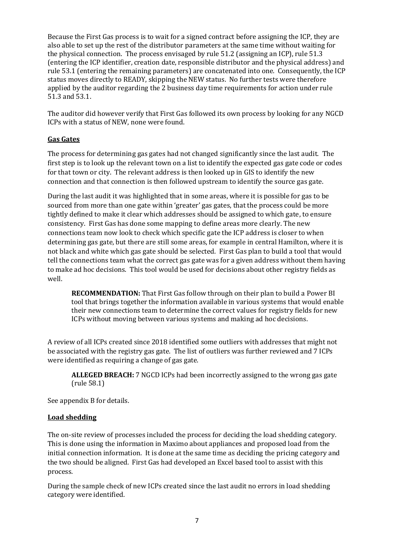Because the First Gas process is to wait for a signed contract before assigning the ICP, they are also able to set up the rest of the distributor parameters at the same time without waiting for the physical connection. The process envisaged by rule 51.2 (assigning an ICP), rule 51.3 (entering the ICP identifier, creation date, responsible distributor and the physical address) and rule 53.1 (entering the remaining parameters) are concatenated into one. Consequently, the ICP status moves directly to READY, skipping the NEW status. No further tests were therefore applied by the auditor regarding the 2 business day time requirements for action under rule 51.3 and 53.1.

The auditor did however verify that First Gas followed its own process by looking for any NGCD ICPs with a status of NEW, none were found.

#### **Gas Gates**

The process for determining gas gates had not changed significantly since the last audit. The first step is to look up the relevant town on a list to identify the expected gas gate code or codes for that town or city. The relevant address is then looked up in GIS to identify the new connection and that connection is then followed upstream to identify the source gas gate.

During the last audit it was highlighted that in some areas, where it is possible for gas to be sourced from more than one gate within 'greater' gas gates, that the process could be more tightly defined to make it clear which addresses should be assigned to which gate, to ensure consistency. First Gas has done some mapping to define areas more clearly. The new connections team now look to check which specific gate the ICP address is closer to when determining gas gate, but there are still some areas, for example in central Hamilton, where it is not black and white which gas gate should be selected. First Gas plan to build a tool that would tell the connections team what the correct gas gate was for a given address without them having to make ad hoc decisions. This tool would be used for decisions about other registry fields as well.

**RECOMMENDATION:** That First Gas follow through on their plan to build a Power BI tool that brings together the information available in various systems that would enable their new connections team to determine the correct values for registry fields for new ICPs without moving between various systems and making ad hoc decisions.

A review of all ICPs created since 2018 identified some outliers with addresses that might not be associated with the registry gas gate. The list of outliers was further reviewed and 7 ICPs were identified as requiring a change of gas gate.

**ALLEGED BREACH:** 7 NGCD ICPs had been incorrectly assigned to the wrong gas gate (rule 58.1)

See appendix B for details.

#### **Load shedding**

The on-site review of processes included the process for deciding the load shedding category. This is done using the information in Maximo about appliances and proposed load from the initial connection information. It is done at the same time as deciding the pricing category and the two should be aligned. First Gas had developed an Excel based tool to assist with this process.

During the sample check of new ICPs created since the last audit no errors in load shedding category were identified.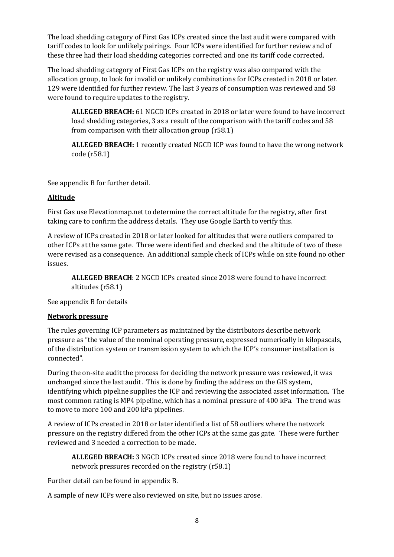The load shedding category of First Gas ICPs created since the last audit were compared with tariff codes to look for unlikely pairings. Four ICPs were identified for further review and of these three had their load shedding categories corrected and one its tariff code corrected.

The load shedding category of First Gas ICPs on the registry was also compared with the allocation group, to look for invalid or unlikely combinations for ICPs created in 2018 or later. 129 were identified for further review. The last 3 years of consumption was reviewed and 58 were found to require updates to the registry.

**ALLEGED BREACH:** 61 NGCD ICPs created in 2018 or later were found to have incorrect load shedding categories, 3 as a result of the comparison with the tariff codes and 58 from comparison with their allocation group (r58.1)

**ALLEGED BREACH:** 1 recently created NGCD ICP was found to have the wrong network code (r58.1)

See appendix B for further detail.

#### **Altitude**

First Gas use Elevationmap.net to determine the correct altitude for the registry, after first taking care to confirm the address details. They use Google Earth to verify this.

A review of ICPs created in 2018 or later looked for altitudes that were outliers compared to other ICPs at the same gate. Three were identified and checked and the altitude of two of these were revised as a consequence. An additional sample check of ICPs while on site found no other issues.

**ALLEGED BREACH**: 2 NGCD ICPs created since 2018 were found to have incorrect altitudes (r58.1)

See appendix B for details

#### **Network pressure**

The rules governing ICP parameters as maintained by the distributors describe network pressure as "the value of the nominal operating pressure, expressed numerically in kilopascals, of the distribution system or transmission system to which the ICP's consumer installation is connected".

During the on-site audit the process for deciding the network pressure was reviewed, it was unchanged since the last audit. This is done by finding the address on the GIS system, identifying which pipeline supplies the ICP and reviewing the associated asset information. The most common rating is MP4 pipeline, which has a nominal pressure of 400 kPa. The trend was to move to more 100 and 200 kPa pipelines.

A review of ICPs created in 2018 or later identified a list of 58 outliers where the network pressure on the registry differed from the other ICPs at the same gas gate. These were further reviewed and 3 needed a correction to be made.

**ALLEGED BREACH:** 3 NGCD ICPs created since 2018 were found to have incorrect network pressures recorded on the registry (r58.1)

Further detail can be found in appendix B.

A sample of new ICPs were also reviewed on site, but no issues arose.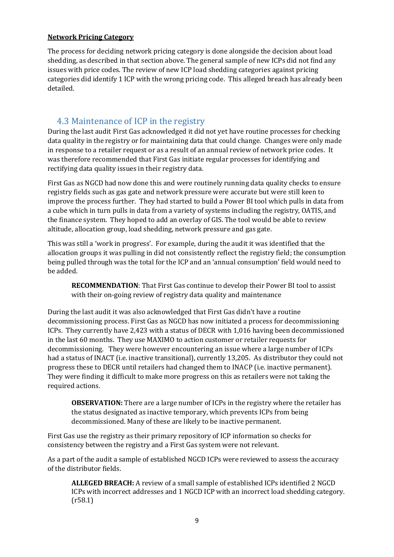#### **Network Pricing Category**

The process for deciding network pricing category is done alongside the decision about load shedding, as described in that section above. The general sample of new ICPs did not find any issues with price codes. The review of new ICP load shedding categories against pricing categories did identify 1 ICP with the wrong pricing code. This alleged breach has already been detailed.

#### <span id="page-13-0"></span>4.3 Maintenance of ICP in the registry

During the last audit First Gas acknowledged it did not yet have routine processes for checking data quality in the registry or for maintaining data that could change. Changes were only made in response to a retailer request or as a result of an annual review of network price codes. It was therefore recommended that First Gas initiate regular processes for identifying and rectifying data quality issues in their registry data.

First Gas as NGCD had now done this and were routinely running data quality checks to ensure registry fields such as gas gate and network pressure were accurate but were still keen to improve the process further. They had started to build a Power BI tool which pulls in data from a cube which in turn pulls in data from a variety of systems including the registry, OATIS, and the finance system. They hoped to add an overlay of GIS. The tool would be able to review altitude, allocation group, load shedding, network pressure and gas gate.

This was still a 'work in progress'. For example, during the audit it was identified that the allocation groups it was pulling in did not consistently reflect the registry field; the consumption being pulled through was the total for the ICP and an 'annual consumption' field would need to be added.

**RECOMMENDATION**: That First Gas continue to develop their Power BI tool to assist with their on-going review of registry data quality and maintenance

During the last audit it was also acknowledged that First Gas didn't have a routine decommissioning process. First Gas as NGCD has now initiated a process for decommissioning ICPs. They currently have 2,423 with a status of DECR with 1,016 having been decommissioned in the last 60 months. They use MAXIMO to action customer or retailer requests for decommissioning. They were however encountering an issue where a large number of ICPs had a status of INACT (i.e. inactive transitional), currently 13,205. As distributor they could not progress these to DECR until retailers had changed them to INACP (i.e. inactive permanent). They were finding it difficult to make more progress on this as retailers were not taking the required actions.

**OBSERVATION:** There are a large number of ICPs in the registry where the retailer has the status designated as inactive temporary, which prevents ICPs from being decommissioned. Many of these are likely to be inactive permanent.

First Gas use the registry as their primary repository of ICP information so checks for consistency between the registry and a First Gas system were not relevant.

As a part of the audit a sample of established NGCD ICPs were reviewed to assess the accuracy of the distributor fields.

**ALLEGED BREACH:** A review of a small sample of established ICPs identified 2 NGCD ICPs with incorrect addresses and 1 NGCD ICP with an incorrect load shedding category. (r58.1)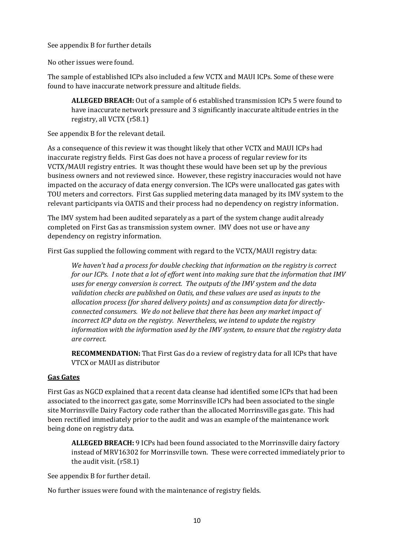See appendix B for further details

No other issues were found.

The sample of established ICPs also included a few VCTX and MAUI ICPs. Some of these were found to have inaccurate network pressure and altitude fields.

**ALLEGED BREACH:** Out of a sample of 6 established transmission ICPs 5 were found to have inaccurate network pressure and 3 significantly inaccurate altitude entries in the registry, all VCTX (r58.1)

See appendix B for the relevant detail.

As a consequence of this review it was thought likely that other VCTX and MAUI ICPs had inaccurate registry fields. First Gas does not have a process of regular review for its VCTX/MAUI registry entries. It was thought these would have been set up by the previous business owners and not reviewed since. However, these registry inaccuracies would not have impacted on the accuracy of data energy conversion. The ICPs were unallocated gas gates with TOU meters and correctors. First Gas supplied metering data managed by its IMV system to the relevant participants via OATIS and their process had no dependency on registry information.

The IMV system had been audited separately as a part of the system change audit already completed on First Gas as transmission system owner. IMV does not use or have any dependency on registry information.

First Gas supplied the following comment with regard to the VCTX/MAUI registry data:

*We haven't had a process for double checking that information on the registry is correct for our ICPs. I note that a lot of effort went into making sure that the information that IMV uses for energy conversion is correct. The outputs of the IMV system and the data validation checks are published on Oatis, and these values are used as inputs to the allocation process (for shared delivery points) and as consumption data for directlyconnected consumers. We do not believe that there has been any market impact of incorrect ICP data on the registry. Nevertheless, we intend to update the registry information with the information used by the IMV system, to ensure that the registry data are correct.*

**RECOMMENDATION:** That First Gas do a review of registry data for all ICPs that have VTCX or MAUI as distributor

#### **Gas Gates**

First Gas as NGCD explained that a recent data cleanse had identified some ICPs that had been associated to the incorrect gas gate, some Morrinsville ICPs had been associated to the single site Morrinsville Dairy Factory code rather than the allocated Morrinsville gas gate. This had been rectified immediately prior to the audit and was an example of the maintenance work being done on registry data.

**ALLEGED BREACH:** 9 ICPs had been found associated to the Morrinsville dairy factory instead of MRV16302 for Morrinsville town. These were corrected immediately prior to the audit visit. (r58.1)

See appendix B for further detail.

No further issues were found with the maintenance of registry fields.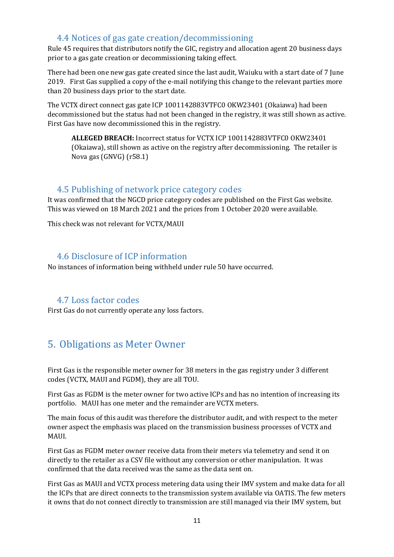#### <span id="page-15-0"></span>4.4 Notices of gas gate creation/decommissioning

Rule 45 requires that distributors notify the GIC, registry and allocation agent 20 business days prior to a gas gate creation or decommissioning taking effect.

There had been one new gas gate created since the last audit, Waiuku with a start date of 7 June 2019. First Gas supplied a copy of the e-mail notifying this change to the relevant parties more than 20 business days prior to the start date.

The VCTX direct connect gas gate ICP 1001142883VTFC0 OKW23401 (Okaiawa) had been decommissioned but the status had not been changed in the registry, it was still shown as active. First Gas have now decommissioned this in the registry.

**ALLEGED BREACH:** Incorrect status for VCTX ICP 1001142883VTFC0 OKW23401 (Okaiawa), still shown as active on the registry after decommissioning. The retailer is Nova gas (GNVG) (r58.1)

#### <span id="page-15-1"></span>4.5 Publishing of network price category codes

It was confirmed that the NGCD price category codes are published on the First Gas website. This was viewed on 18 March 2021 and the prices from 1 October 2020 were available.

This check was not relevant for VCTX/MAUI

#### <span id="page-15-2"></span>4.6 Disclosure of ICP information

No instances of information being withheld under rule 50 have occurred.

#### <span id="page-15-3"></span>4.7 Loss factor codes

First Gas do not currently operate any loss factors.

# <span id="page-15-4"></span>5. Obligations as Meter Owner

First Gas is the responsible meter owner for 38 meters in the gas registry under 3 different codes (VCTX, MAUI and FGDM), they are all TOU.

First Gas as FGDM is the meter owner for two active ICPs and has no intention of increasing its portfolio. MAUI has one meter and the remainder are VCTX meters.

The main focus of this audit was therefore the distributor audit, and with respect to the meter owner aspect the emphasis was placed on the transmission business processes of VCTX and MAUI.

First Gas as FGDM meter owner receive data from their meters via telemetry and send it on directly to the retailer as a CSV file without any conversion or other manipulation. It was confirmed that the data received was the same as the data sent on.

First Gas as MAUI and VCTX process metering data using their IMV system and make data for all the ICPs that are direct connects to the transmission system available via OATIS. The few meters it owns that do not connect directly to transmission are still managed via their IMV system, but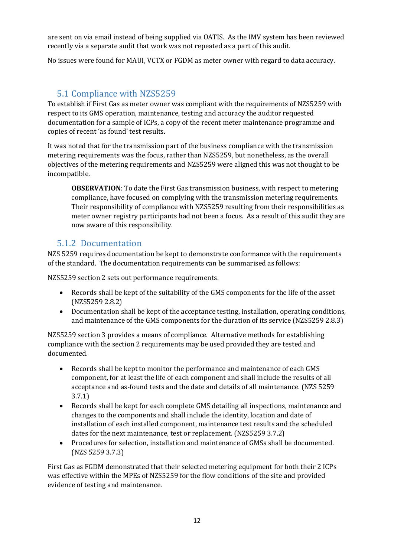are sent on via email instead of being supplied via OATIS. As the IMV system has been reviewed recently via a separate audit that work was not repeated as a part of this audit.

No issues were found for MAUI, VCTX or FGDM as meter owner with regard to data accuracy.

#### <span id="page-16-0"></span>5.1 Compliance with NZS5259

To establish if First Gas as meter owner was compliant with the requirements of NZS5259 with respect to its GMS operation, maintenance, testing and accuracy the auditor requested documentation for a sample of ICPs, a copy of the recent meter maintenance programme and copies of recent 'as found' test results.

It was noted that for the transmission part of the business compliance with the transmission metering requirements was the focus, rather than NZS5259, but nonetheless, as the overall objectives of the metering requirements and NZS5259 were aligned this was not thought to be incompatible.

**OBSERVATION**: To date the First Gas transmission business, with respect to metering compliance, have focused on complying with the transmission metering requirements. Their responsibility of compliance with NZS5259 resulting from their responsibilities as meter owner registry participants had not been a focus. As a result of this audit they are now aware of this responsibility.

#### <span id="page-16-1"></span>5.1.2 Documentation

NZS 5259 requires documentation be kept to demonstrate conformance with the requirements of the standard. The documentation requirements can be summarised as follows:

NZS5259 section 2 sets out performance requirements.

- Records shall be kept of the suitability of the GMS components for the life of the asset (NZS5259 2.8.2)
- Documentation shall be kept of the acceptance testing, installation, operating conditions, and maintenance of the GMS components for the duration of its service (NZS5259 2.8.3)

NZS5259 section 3 provides a means of compliance. Alternative methods for establishing compliance with the section 2 requirements may be used provided they are tested and documented.

- Records shall be kept to monitor the performance and maintenance of each GMS component, for at least the life of each component and shall include the results of all acceptance and as-found tests and the date and details of all maintenance. (NZS 5259 3.7.1)
- Records shall be kept for each complete GMS detailing all inspections, maintenance and changes to the components and shall include the identity, location and date of installation of each installed component, maintenance test results and the scheduled dates for the next maintenance, test or replacement. (NZS5259 3.7.2)
- Procedures for selection, installation and maintenance of GMSs shall be documented. (NZS 5259 3.7.3)

First Gas as FGDM demonstrated that their selected metering equipment for both their 2 ICPs was effective within the MPEs of NZS5259 for the flow conditions of the site and provided evidence of testing and maintenance.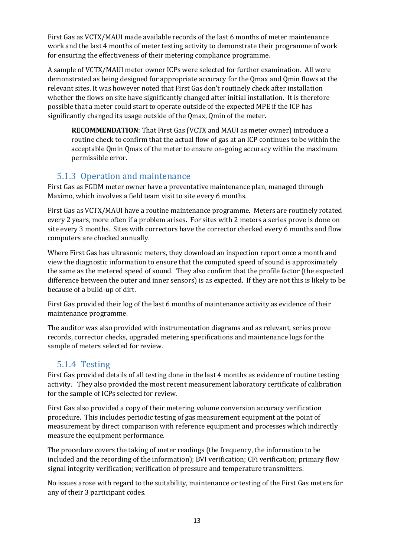First Gas as VCTX/MAUI made available records of the last 6 months of meter maintenance work and the last 4 months of meter testing activity to demonstrate their programme of work for ensuring the effectiveness of their metering compliance programme.

A sample of VCTX/MAUI meter owner ICPs were selected for further examination. All were demonstrated as being designed for appropriate accuracy for the Qmax and Qmin flows at the relevant sites. It was however noted that First Gas don't routinely check after installation whether the flows on site have significantly changed after initial installation. It is therefore possible that a meter could start to operate outside of the expected MPE if the ICP has significantly changed its usage outside of the Qmax, Qmin of the meter.

**RECOMMENDATION**: That First Gas (VCTX and MAUI as meter owner) introduce a routine check to confirm that the actual flow of gas at an ICP continues to be within the acceptable Qmin Qmax of the meter to ensure on-going accuracy within the maximum permissible error.

#### <span id="page-17-0"></span>5.1.3 Operation and maintenance

First Gas as FGDM meter owner have a preventative maintenance plan, managed through Maximo, which involves a field team visit to site every 6 months.

First Gas as VCTX/MAUI have a routine maintenance programme. Meters are routinely rotated every 2 years, more often if a problem arises. For sites with 2 meters a series prove is done on site every 3 months. Sites with correctors have the corrector checked every 6 months and flow computers are checked annually.

Where First Gas has ultrasonic meters, they download an inspection report once a month and view the diagnostic information to ensure that the computed speed of sound is approximately the same as the metered speed of sound. They also confirm that the profile factor (the expected difference between the outer and inner sensors) is as expected. If they are not this is likely to be because of a build-up of dirt.

First Gas provided their log of the last 6 months of maintenance activity as evidence of their maintenance programme.

The auditor was also provided with instrumentation diagrams and as relevant, series prove records, corrector checks, upgraded metering specifications and maintenance logs for the sample of meters selected for review.

#### <span id="page-17-1"></span>5.1.4 Testing

First Gas provided details of all testing done in the last 4 months as evidence of routine testing activity. They also provided the most recent measurement laboratory certificate of calibration for the sample of ICPs selected for review.

First Gas also provided a copy of their metering volume conversion accuracy verification procedure. This includes periodic testing of gas measurement equipment at the point of measurement by direct comparison with reference equipment and processes which indirectly measure the equipment performance.

The procedure covers the taking of meter readings (the frequency, the information to be included and the recording of the information); BVI verification; CFi verification; primary flow signal integrity verification; verification of pressure and temperature transmitters.

No issues arose with regard to the suitability, maintenance or testing of the First Gas meters for any of their 3 participant codes.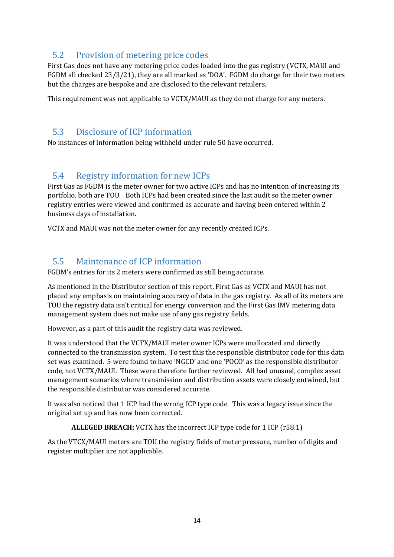#### <span id="page-18-0"></span>5.2 Provision of metering price codes

First Gas does not have any metering price codes loaded into the gas registry (VCTX, MAUI and FGDM all checked 23/3/21), they are all marked as 'DOA'. FGDM do charge for their two meters but the charges are bespoke and are disclosed to the relevant retailers.

This requirement was not applicable to VCTX/MAUI as they do not charge for any meters.

#### <span id="page-18-1"></span>5.3 Disclosure of ICP information

No instances of information being withheld under rule 50 have occurred.

#### <span id="page-18-2"></span>5.4 Registry information for new ICPs

First Gas as FGDM is the meter owner for two active ICPs and has no intention of increasing its portfolio, both are TOU. Both ICPs had been created since the last audit so the meter owner registry entries were viewed and confirmed as accurate and having been entered within 2 business days of installation.

VCTX and MAUI was not the meter owner for any recently created ICPs.

### <span id="page-18-3"></span>5.5 Maintenance of ICP information

FGDM's entries for its 2 meters were confirmed as still being accurate.

As mentioned in the Distributor section of this report, First Gas as VCTX and MAUI has not placed any emphasis on maintaining accuracy of data in the gas registry. As all of its meters are TOU the registry data isn't critical for energy conversion and the First Gas IMV metering data management system does not make use of any gas registry fields.

However, as a part of this audit the registry data was reviewed.

It was understood that the VCTX/MAUI meter owner ICPs were unallocated and directly connected to the transmission system. To test this the responsible distributor code for this data set was examined. 5 were found to have 'NGCD' and one 'POCO' as the responsible distributor code, not VCTX/MAUI. These were therefore further reviewed. All had unusual, complex asset management scenarios where transmission and distribution assets were closely entwined, but the responsible distributor was considered accurate.

It was also noticed that 1 ICP had the wrong ICP type code. This was a legacy issue since the original set up and has now been corrected.

#### **ALLEGED BREACH:** VCTX has the incorrect ICP type code for 1 ICP (r58.1)

As the VTCX/MAUI meters are TOU the registry fields of meter pressure, number of digits and register multiplier are not applicable.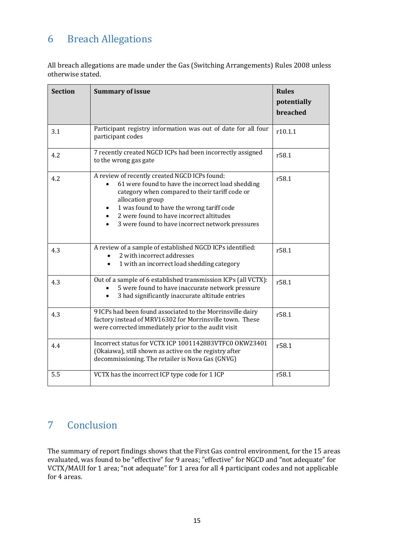# <span id="page-19-0"></span>6 Breach Allegations

All breach allegations are made under the Gas (Switching Arrangements) Rules 2008 unless otherwise stated.

| <b>Section</b> | <b>Summary of issue</b>                                                                                                                                                                                                                                                                                               | <b>Rules</b><br>potentially<br>breached |
|----------------|-----------------------------------------------------------------------------------------------------------------------------------------------------------------------------------------------------------------------------------------------------------------------------------------------------------------------|-----------------------------------------|
| 3.1            | Participant registry information was out of date for all four<br>participant codes                                                                                                                                                                                                                                    | r10.1.1                                 |
| 4.2            | 7 recently created NGCD ICPs had been incorrectly assigned<br>to the wrong gas gate                                                                                                                                                                                                                                   | r58.1                                   |
| 4.2            | A review of recently created NGCD ICPs found:<br>61 were found to have the incorrect load shedding<br>category when compared to their tariff code or<br>allocation group<br>1 was found to have the wrong tariff code<br>2 were found to have incorrect altitudes<br>3 were found to have incorrect network pressures | r58.1                                   |
| 4.3            | A review of a sample of established NGCD ICPs identified:<br>2 with incorrect addresses<br>1 with an incorrect load shedding category                                                                                                                                                                                 | r58.1                                   |
| 4.3            | Out of a sample of 6 established transmission ICPs (all VCTX):<br>5 were found to have inaccurate network pressure<br>3 had significantly inaccurate altitude entries                                                                                                                                                 | r58.1                                   |
| 4.3            | 9 ICPs had been found associated to the Morrinsville dairy<br>factory instead of MRV16302 for Morrinsville town. These<br>were corrected immediately prior to the audit visit                                                                                                                                         | r58.1                                   |
| 4.4            | Incorrect status for VCTX ICP 1001142883VTFC0 OKW23401<br>(Okaiawa), still shown as active on the registry after<br>decommissioning. The retailer is Nova Gas (GNVG)                                                                                                                                                  | r58.1                                   |
| 5.5            | VCTX has the incorrect ICP type code for 1 ICP                                                                                                                                                                                                                                                                        | r58.1                                   |

# <span id="page-19-1"></span>7 Conclusion

The summary of report findings shows that the First Gas control environment, for the 15 areas evaluated, was found to be "effective" for 9 areas; "effective" for NGCD and "not adequate" for VCTX/MAUI for 1 area; "not adequate" for 1 area for all 4 participant codes and not applicable for 4 areas.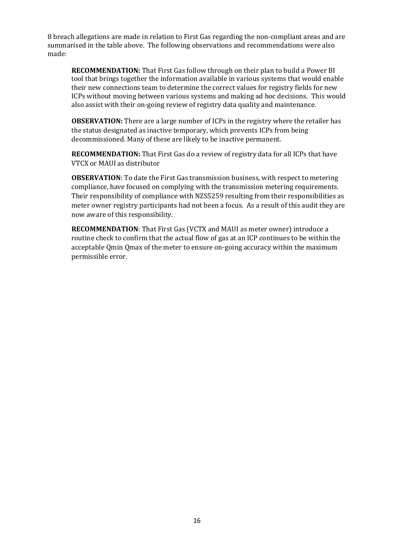8 breach allegations are made in relation to First Gas regarding the non-compliant areas and are summarised in the table above. The following observations and recommendations were also made:

**RECOMMENDATION:** That First Gas follow through on their plan to build a Power BI tool that brings together the information available in various systems that would enable their new connections team to determine the correct values for registry fields for new ICPs without moving between various systems and making ad hoc decisions. This would also assist with their on-going review of registry data quality and maintenance.

**OBSERVATION:** There are a large number of ICPs in the registry where the retailer has the status designated as inactive temporary, which prevents ICPs from being decommissioned. Many of these are likely to be inactive permanent.

**RECOMMENDATION:** That First Gas do a review of registry data for all ICPs that have VTCX or MAUI as distributor

**OBSERVATION**: To date the First Gas transmission business, with respect to metering compliance, have focused on complying with the transmission metering requirements. Their responsibility of compliance with NZS5259 resulting from their responsibilities as meter owner registry participants had not been a focus. As a result of this audit they are now aware of this responsibility.

**RECOMMENDATION**: That First Gas (VCTX and MAUI as meter owner) introduce a routine check to confirm that the actual flow of gas at an ICP continues to be within the acceptable Qmin Qmax of the meter to ensure on-going accuracy within the maximum permissible error.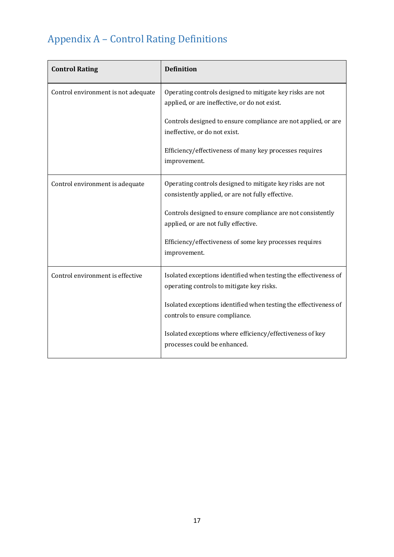# <span id="page-21-0"></span>Appendix A – Control Rating Definitions

| <b>Control Rating</b>               | <b>Definition</b>                                                                                              |
|-------------------------------------|----------------------------------------------------------------------------------------------------------------|
| Control environment is not adequate | Operating controls designed to mitigate key risks are not<br>applied, or are ineffective, or do not exist.     |
|                                     | Controls designed to ensure compliance are not applied, or are<br>ineffective, or do not exist.                |
|                                     | Efficiency/effectiveness of many key processes requires<br>improvement.                                        |
| Control environment is adequate     | Operating controls designed to mitigate key risks are not<br>consistently applied, or are not fully effective. |
|                                     | Controls designed to ensure compliance are not consistently<br>applied, or are not fully effective.            |
|                                     | Efficiency/effectiveness of some key processes requires<br>improvement.                                        |
| Control environment is effective    | Isolated exceptions identified when testing the effectiveness of<br>operating controls to mitigate key risks.  |
|                                     | Isolated exceptions identified when testing the effectiveness of<br>controls to ensure compliance.             |
|                                     | Isolated exceptions where efficiency/effectiveness of key<br>processes could be enhanced.                      |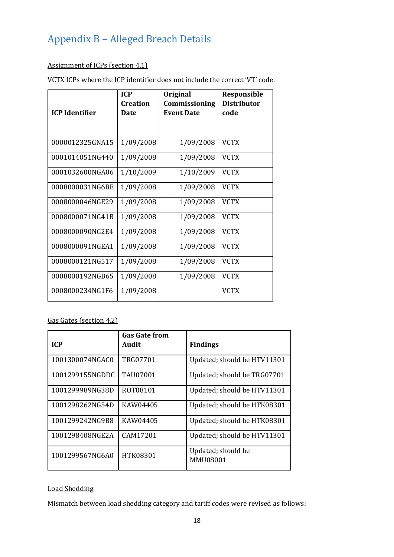# <span id="page-22-0"></span>Appendix B – Alleged Breach Details

#### Assignment of ICPs (section 4.1)

VCTX ICPs where the ICP identifier does not include the correct 'VT' code.

|                       | <b>ICP</b>                     | Original                           | Responsible                |
|-----------------------|--------------------------------|------------------------------------|----------------------------|
| <b>ICP</b> Identifier | <b>Creation</b><br><b>Date</b> | Commissioning<br><b>Event Date</b> | <b>Distributor</b><br>code |
|                       |                                |                                    |                            |
| 0000012325GNA15       | 1/09/2008                      | 1/09/2008                          | <b>VCTX</b>                |
| 0001014051NG440       | 1/09/2008                      | 1/09/2008                          | <b>VCTX</b>                |
| 0001032600NGA06       | 1/10/2009                      | 1/10/2009                          | <b>VCTX</b>                |
| 0008000031NG6BE       | 1/09/2008                      | 1/09/2008                          | <b>VCTX</b>                |
| 0008000046NGE29       | 1/09/2008                      | 1/09/2008                          | <b>VCTX</b>                |
| 0008000071NG41B       | 1/09/2008                      | 1/09/2008                          | <b>VCTX</b>                |
| 0008000090NG2E4       | 1/09/2008                      | 1/09/2008                          | <b>VCTX</b>                |
| 0008000091NGEA1       | 1/09/2008                      | 1/09/2008                          | <b>VCTX</b>                |
| 0008000121NG517       | 1/09/2008                      | 1/09/2008                          | <b>VCTX</b>                |
| 0008000192NGB65       | 1/09/2008                      | 1/09/2008                          | <b>VCTX</b>                |
| 0008000234NG1F6       | 1/09/2008                      |                                    | <b>VCTX</b>                |

#### Gas Gates (section 4.2)

| <b>ICP</b>      | <b>Gas Gate from</b><br>Audit | <b>Findings</b>                |
|-----------------|-------------------------------|--------------------------------|
| 1001300074NGAC0 | TRG07701                      | Updated; should be HTV11301    |
| 1001299155NGDDC | <b>TAU07001</b>               | Updated; should be TRG07701    |
| 1001299989NG38D | ROT08101                      | Updated; should be HTV11301    |
| 1001298262NG54D | KAW04405                      | Updated; should be HTK08301    |
| 1001299242NG9B8 | KAW04405                      | Updated; should be HTK08301    |
| 1001298408NGE2A | CAM17201                      | Updated; should be HTV11301    |
| 1001299567NG6A0 | HTK08301                      | Updated; should be<br>MMU08001 |

#### Load Shedding

Mismatch between load shedding category and tariff codes were revised as follows: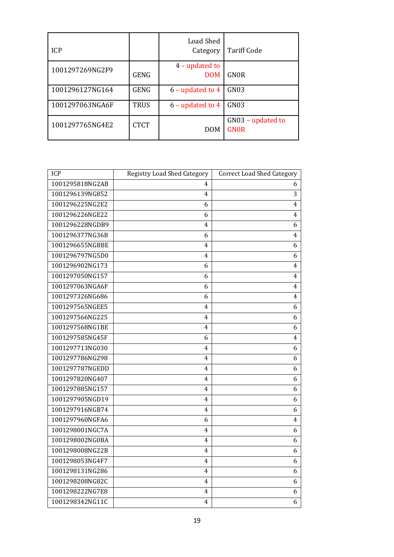| <b>ICP</b>      |             | <b>Load Shed</b><br>Category | <b>Tariff Code</b>               |
|-----------------|-------------|------------------------------|----------------------------------|
| 1001297269NG2F9 | GENG        | 4 – updated to<br><b>DOM</b> | <b>GNOR</b>                      |
| 1001296127NG164 | GENG        | $6$ – updated to 4           | GN03                             |
| 1001297063NGA6F | <b>TRUS</b> | $6$ – updated to 4           | GN03                             |
| 1001297765NG4E2 | <b>CTCT</b> | <b>DOM</b>                   | GN03 - updated to<br><b>GNOR</b> |

| ICP             | <b>Registry Load Shed Category</b> | <b>Correct Load Shed Category</b> |
|-----------------|------------------------------------|-----------------------------------|
| 1001295818NG2AB | 4                                  | 6                                 |
| 1001296139NG852 | 4                                  | 3                                 |
| 1001296225NG2E2 | 6                                  | 4                                 |
| 1001296226NGE22 | 6                                  | 4                                 |
| 1001296228NGDB9 | 4                                  | 6                                 |
| 1001296377NG36B | 6                                  | 4                                 |
| 1001296655NGBBE | 4                                  | 6                                 |
| 1001296797NG5D0 | 4                                  | 6                                 |
| 1001296902NG173 | 6                                  | 4                                 |
| 1001297050NG157 | 6                                  | 4                                 |
| 1001297063NGA6F | 6                                  | 4                                 |
| 1001297326NG686 | 6                                  | 4                                 |
| 1001297565NGEE5 | 4                                  | 6                                 |
| 1001297566NG225 | 4                                  | 6                                 |
| 1001297568NG1BE | 4                                  | 6                                 |
| 1001297585NG45F | 6                                  | 4                                 |
| 1001297713NG030 | 4                                  | 6                                 |
| 1001297786NG298 | 4                                  | 6                                 |
| 1001297787NGEDD | 4                                  | 6                                 |
| 1001297820NG407 | 4                                  | 6                                 |
| 1001297885NG157 | 4                                  | 6                                 |
| 1001297905NGD19 | 4                                  | 6                                 |
| 1001297916NGB74 | 4                                  | 6                                 |
| 1001297960NGFA6 | 6                                  | 4                                 |
| 1001298001NGC7A | 4                                  | 6                                 |
| 1001298002NG0BA | 4                                  | 6                                 |
| 1001298008NG22B | 4                                  | 6                                 |
| 1001298053NG4F7 | 4                                  | 6                                 |
| 1001298131NG286 | 4                                  | 6                                 |
| 1001298208NG82C | 4                                  | 6                                 |
| 1001298222NG7E8 | 4                                  | 6                                 |
| 1001298342NG11C | 4                                  | 6                                 |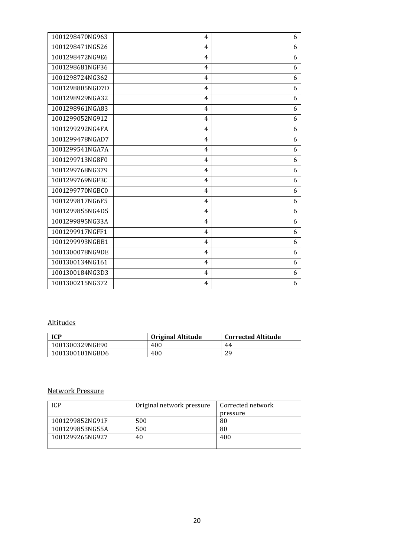| 1001298470NG963 | 4              | 6 |
|-----------------|----------------|---|
| 1001298471NG526 | $\overline{4}$ | 6 |
| 1001298472NG9E6 | 4              | 6 |
| 1001298681NGF36 | $\overline{4}$ | 6 |
| 1001298724NG362 | 4              | 6 |
| 1001298805NGD7D | $\overline{4}$ | 6 |
| 1001298929NGA32 | 4              | 6 |
| 1001298961NGA83 | 4              | 6 |
| 1001299052NG912 | 4              | 6 |
| 1001299292NG4FA | $\overline{4}$ | 6 |
| 1001299478NGAD7 | 4              | 6 |
| 1001299541NGA7A | 4              | 6 |
| 1001299713NG8F0 | 4              | 6 |
| 1001299768NG379 | 4              | 6 |
| 1001299769NGF3C | 4              | 6 |
| 1001299770NGBC0 | 4              | 6 |
| 1001299817NG6F5 | 4              | 6 |
| 1001299855NG4D5 | 4              | 6 |
| 1001299895NG33A | 4              | 6 |
| 1001299917NGFF1 | 4              | 6 |
| 1001299993NGBB1 | 4              | 6 |
| 1001300078NG9DE | 4              | 6 |
| 1001300134NG161 | 4              | 6 |
| 1001300184NG3D3 | 4              | 6 |
| 1001300215NG372 | 4              | 6 |

#### Altitudes

| <b>ICP</b>      | Original Altitude | <b>Corrected Altitude</b> |
|-----------------|-------------------|---------------------------|
| 1001300329NGE90 | 400               | 44                        |
| 1001300101NGBD6 | 400               | 29                        |

#### Network Pressure

| ICP             | Original network pressure | Corrected network |  |
|-----------------|---------------------------|-------------------|--|
|                 |                           | pressure          |  |
| 1001299852NG91F | 500                       | 80                |  |
| 1001299853NG55A | 500                       | 80                |  |
| 1001299265NG927 | 40                        | 400               |  |
|                 |                           |                   |  |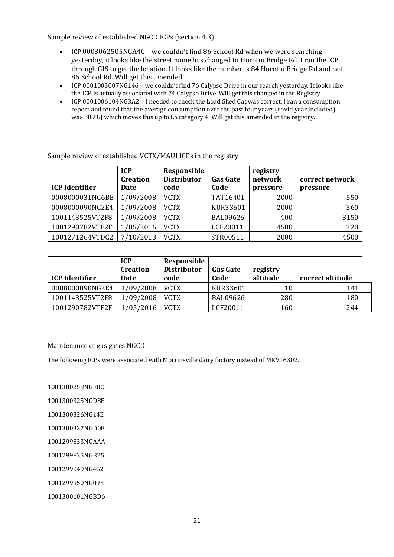Sample review of established NGCD ICPs (section 4.3)

- ICP 0003062505NGA4C we couldn't find 86 School Rd when we were searching yesterday, it looks like the street name has changed to Horotiu Bridge Rd. I ran the ICP through GIS to get the location. It looks like the number is 84 Horotiu Bridge Rd and not 86 School Rd. Will get this amended.
- ICP 0001003007NG146 we couldn't find 76 Calypso Drive in our search yesterday. It looks like the ICP is actually associated with 74 Calypso Drive. Will get this changed in the Registry.
- ICP 0001006104NG3A2 I needed to check the Load Shed Cat was correct. I ran a consumption report and found that the average consumption over the past four years (covid year included) was 309 GJ which moves this up to LS category 4. Will get this amended in the registry.

| <b>ICP</b> Identifier | <b>ICP</b><br><b>Creation</b><br>Date | Responsible<br><b>Distributor</b><br>code | <b>Gas Gate</b><br>Code | registry<br>network<br>pressure | correct network<br>pressure |
|-----------------------|---------------------------------------|-------------------------------------------|-------------------------|---------------------------------|-----------------------------|
| 0008000031NG6BE       | 1/09/2008                             | <b>VCTX</b>                               | TAT16401                | 2000                            | 550                         |
| 0008000090NG2E4       | 1/09/2008                             | <b>VCTX</b>                               | KUR33601                | 2000                            | 360                         |
| 1001143525VT2F8       | 1/09/2008                             | <b>VCTX</b>                               | <b>BAL09626</b>         | 400                             | 3150                        |
| 1001290782VTF2F       | 1/05/2016                             | <b>VCTX</b>                               | LCF20011                | 4500                            | 720                         |
| 1001271264VTDC2       | 7/10/2013                             | <b>VCTX</b>                               | STR00511                | 2000                            | 4500                        |

Sample review of established VCTX/MAUI ICPs in the registry

| <b>ICP Identifier</b> | <b>ICP</b><br><b>Creation</b><br>Date | Responsible<br><b>Distributor</b><br>code | <b>Gas Gate</b><br>Code | registry<br>altitude | correct altitude |
|-----------------------|---------------------------------------|-------------------------------------------|-------------------------|----------------------|------------------|
| 0008000090NG2E4       | 1/09/2008                             | <b>VCTX</b>                               | KUR33601                | 10                   | 141              |
| 1001143525VT2F8       | 1/09/2008                             | <b>VCTX</b>                               | <b>BAL09626</b>         | 280                  | 180              |
| 1001290782VTF2F       | /05/2016                              | <b>VCTX</b>                               | LCF20011                | 160                  | 244              |

#### Maintenance of gas gates NGCD

The following ICPs were associated with Morrinsville dairy factory instead of MRV16302.

1001300258NGE8C

1001300325NGD8E

1001300326NG14E

1001300327NGD0B

1001299833NGAAA

1001299835NGB25

1001299949NG462

1001299950NG09E

1001300101NGBD6